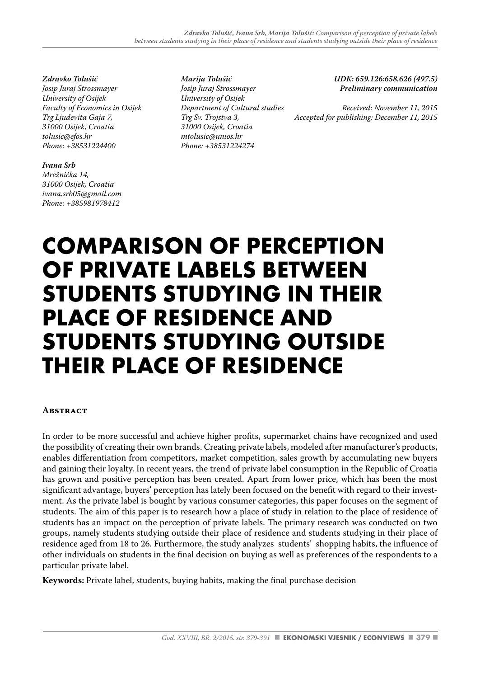*Zdravko Tolušić Josip Juraj Strossmayer University of Osijek Faculty of Economics in Osijek Trg Ljudevita Gaja 7, 31000 Osijek, Croatia tolusic@efos.hr Phone: +38531224400*

#### *Ivana Srb*

*Mrežnička 14, 31000 Osijek, Croatia ivana.srb05@gmail.com Phone: +385981978412*

*Marija Tolušić Josip Juraj Strossmayer University of Osijek Department of Cultural studies Trg Sv. Trojstva 3, 31000 Osijek, Croatia mtolusic@unios.hr Phone: +38531224274*

*UDK: 659.126:658.626 (497.5) Preliminary communication* 

*Received: November 11, 2015 Accepted for publishing: December 11, 2015*

# **COMPARISON OF PERCEPTION OF PRIVATE LABELS BETWEEN STUDENTS STUDYING IN THEIR PLACE OF RESIDENCE AND STUDENTS STUDYING OUTSIDE THEIR PLACE OF RESIDENCE**

#### **Abstract**

In order to be more successful and achieve higher profits, supermarket chains have recognized and used the possibility of creating their own brands. Creating private labels, modeled after manufacturer's products, enables differentiation from competitors, market competition, sales growth by accumulating new buyers and gaining their loyalty. In recent years, the trend of private label consumption in the Republic of Croatia has grown and positive perception has been created. Apart from lower price, which has been the most significant advantage, buyers' perception has lately been focused on the benefit with regard to their investment. As the private label is bought by various consumer categories, this paper focuses on the segment of students. The aim of this paper is to research how a place of study in relation to the place of residence of students has an impact on the perception of private labels. The primary research was conducted on two groups, namely students studying outside their place of residence and students studying in their place of residence aged from 18 to 26. Furthermore, the study analyzes students' shopping habits, the influence of other individuals on students in the final decision on buying as well as preferences of the respondents to a particular private label.

**Keywords:** Private label, students, buying habits, making the final purchase decision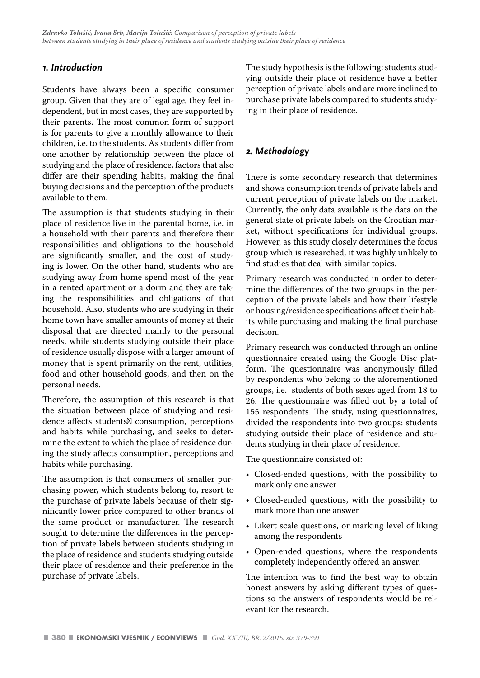# *1. Introduction*

Students have always been a specific consumer group. Given that they are of legal age, they feel independent, but in most cases, they are supported by their parents. The most common form of support is for parents to give a monthly allowance to their children, i.e. to the students. As students differ from one another by relationship between the place of studying and the place of residence, factors that also differ are their spending habits, making the final buying decisions and the perception of the products available to them.

The assumption is that students studying in their place of residence live in the parental home, i.e. in a household with their parents and therefore their responsibilities and obligations to the household are significantly smaller, and the cost of studying is lower. On the other hand, students who are studying away from home spend most of the year in a rented apartment or a dorm and they are taking the responsibilities and obligations of that household. Also, students who are studying in their home town have smaller amounts of money at their disposal that are directed mainly to the personal needs, while students studying outside their place of residence usually dispose with a larger amount of money that is spent primarily on the rent, utilities, food and other household goods, and then on the personal needs.

Therefore, the assumption of this research is that the situation between place of studying and residence affects students consumption, perceptions and habits while purchasing, and seeks to determine the extent to which the place of residence during the study affects consumption, perceptions and habits while purchasing.

The assumption is that consumers of smaller purchasing power, which students belong to, resort to the purchase of private labels because of their significantly lower price compared to other brands of the same product or manufacturer. The research sought to determine the differences in the perception of private labels between students studying in the place of residence and students studying outside their place of residence and their preference in the purchase of private labels.

The study hypothesis is the following: students studying outside their place of residence have a better perception of private labels and are more inclined to purchase private labels compared to students studying in their place of residence.

# *2. Methodology*

There is some secondary research that determines and shows consumption trends of private labels and current perception of private labels on the market. Currently, the only data available is the data on the general state of private labels on the Croatian market, without specifications for individual groups. However, as this study closely determines the focus group which is researched, it was highly unlikely to find studies that deal with similar topics.

Primary research was conducted in order to determine the differences of the two groups in the perception of the private labels and how their lifestyle or housing/residence specifications affect their habits while purchasing and making the final purchase decision.

Primary research was conducted through an online questionnaire created using the Google Disc platform. The questionnaire was anonymously filled by respondents who belong to the aforementioned groups, i.e. students of both sexes aged from 18 to 26. The questionnaire was filled out by a total of 155 respondents. The study, using questionnaires, divided the respondents into two groups: students studying outside their place of residence and students studying in their place of residence.

The questionnaire consisted of:

- Closed-ended questions, with the possibility to mark only one answer
- Closed-ended questions, with the possibility to mark more than one answer
- Likert scale questions, or marking level of liking among the respondents
- Open-ended questions, where the respondents completely independently offered an answer.

The intention was to find the best way to obtain honest answers by asking different types of questions so the answers of respondents would be relevant for the research.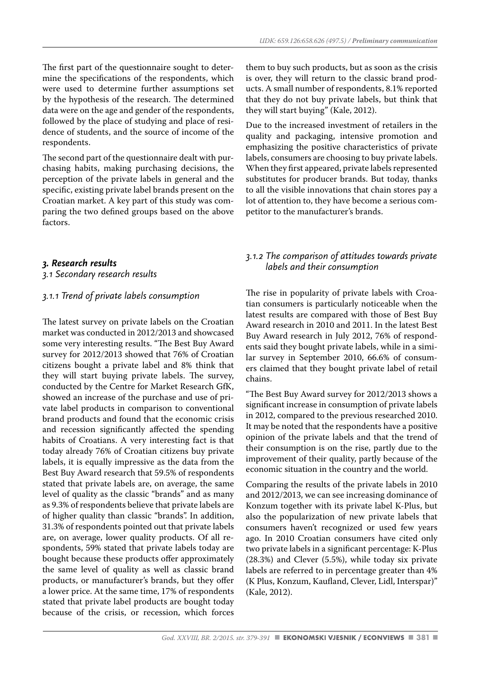The first part of the questionnaire sought to determine the specifications of the respondents, which were used to determine further assumptions set by the hypothesis of the research. The determined data were on the age and gender of the respondents, followed by the place of studying and place of residence of students, and the source of income of the respondents.

The second part of the questionnaire dealt with purchasing habits, making purchasing decisions, the perception of the private labels in general and the specific, existing private label brands present on the Croatian market. A key part of this study was comparing the two defined groups based on the above factors.

# *3. Research results*

*3.1 Secondary research results*

#### *3.1.1 Trend of private labels consumption*

The latest survey on private labels on the Croatian market was conducted in 2012/2013 and showcased some very interesting results. "The Best Buy Award survey for 2012/2013 showed that 76% of Croatian citizens bought a private label and 8% think that they will start buying private labels. The survey, conducted by the Centre for Market Research GfK, showed an increase of the purchase and use of private label products in comparison to conventional brand products and found that the economic crisis and recession significantly affected the spending habits of Croatians. A very interesting fact is that today already 76% of Croatian citizens buy private labels, it is equally impressive as the data from the Best Buy Award research that 59.5% of respondents stated that private labels are, on average, the same level of quality as the classic "brands" and as many as 9.3% of respondents believe that private labels are of higher quality than classic "brands". In addition, 31.3% of respondents pointed out that private labels are, on average, lower quality products. Of all respondents, 59% stated that private labels today are bought because these products offer approximately the same level of quality as well as classic brand products, or manufacturer's brands, but they offer a lower price. At the same time, 17% of respondents stated that private label products are bought today because of the crisis, or recession, which forces them to buy such products, but as soon as the crisis is over, they will return to the classic brand products. A small number of respondents, 8.1% reported that they do not buy private labels, but think that they will start buying" (Kale, 2012).

Due to the increased investment of retailers in the quality and packaging, intensive promotion and emphasizing the positive characteristics of private labels, consumers are choosing to buy private labels. When they first appeared, private labels represented substitutes for producer brands. But today, thanks to all the visible innovations that chain stores pay a lot of attention to, they have become a serious competitor to the manufacturer's brands.

# *3.1.2 The comparison of attitudes towards private labels and their consumption*

The rise in popularity of private labels with Croatian consumers is particularly noticeable when the latest results are compared with those of Best Buy Award research in 2010 and 2011. In the latest Best Buy Award research in July 2012, 76% of respondents said they bought private labels, while in a similar survey in September 2010, 66.6% of consumers claimed that they bought private label of retail chains.

"The Best Buy Award survey for 2012/2013 shows a significant increase in consumption of private labels in 2012, compared to the previous researched 2010. It may be noted that the respondents have a positive opinion of the private labels and that the trend of their consumption is on the rise, partly due to the improvement of their quality, partly because of the economic situation in the country and the world.

Comparing the results of the private labels in 2010 and 2012/2013, we can see increasing dominance of Konzum together with its private label K-Plus, but also the popularization of new private labels that consumers haven't recognized or used few years ago. In 2010 Croatian consumers have cited only two private labels in a significant percentage: K-Plus (28.3%) and Clever (5.5%), while today six private labels are referred to in percentage greater than 4% (K Plus, Konzum, Kaufland, Clever, Lidl, Interspar)" (Kale, 2012).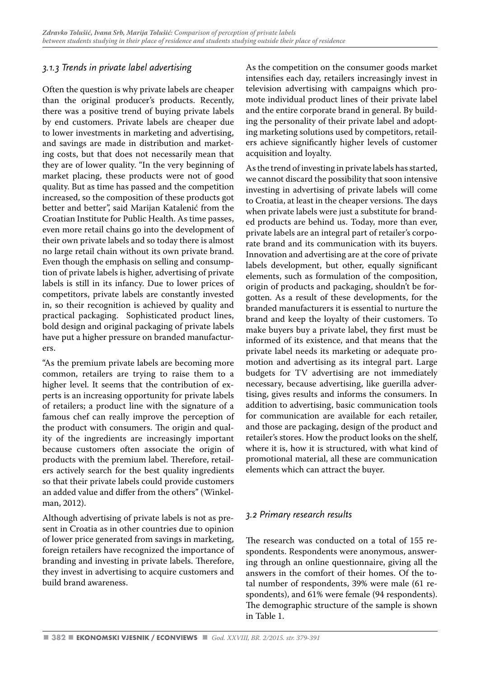# *3.1.3 Trends in private label advertising*

Often the question is why private labels are cheaper than the original producer's products. Recently, there was a positive trend of buying private labels by end customers. Private labels are cheaper due to lower investments in marketing and advertising, and savings are made in distribution and marketing costs, but that does not necessarily mean that they are of lower quality. "In the very beginning of market placing, these products were not of good quality. But as time has passed and the competition increased, so the composition of these products got better and better", said Marijan Katalenić from the Croatian Institute for Public Health. As time passes, even more retail chains go into the development of their own private labels and so today there is almost no large retail chain without its own private brand. Even though the emphasis on selling and consumption of private labels is higher, advertising of private labels is still in its infancy. Due to lower prices of competitors, private labels are constantly invested in, so their recognition is achieved by quality and practical packaging. Sophisticated product lines, bold design and original packaging of private labels have put a higher pressure on branded manufacturers.

"As the premium private labels are becoming more common, retailers are trying to raise them to a higher level. It seems that the contribution of experts is an increasing opportunity for private labels of retailers; a product line with the signature of a famous chef can really improve the perception of the product with consumers. The origin and quality of the ingredients are increasingly important because customers often associate the origin of products with the premium label. Therefore, retailers actively search for the best quality ingredients so that their private labels could provide customers an added value and differ from the others" (Winkelman, 2012).

Although advertising of private labels is not as present in Croatia as in other countries due to opinion of lower price generated from savings in marketing, foreign retailers have recognized the importance of branding and investing in private labels. Therefore, they invest in advertising to acquire customers and build brand awareness.

As the competition on the consumer goods market intensifies each day, retailers increasingly invest in television advertising with campaigns which promote individual product lines of their private label and the entire corporate brand in general. By building the personality of their private label and adopting marketing solutions used by competitors, retailers achieve significantly higher levels of customer acquisition and loyalty.

As the trend of investing in private labels has started, we cannot discard the possibility that soon intensive investing in advertising of private labels will come to Croatia, at least in the cheaper versions. The days when private labels were just a substitute for branded products are behind us. Today, more than ever, private labels are an integral part of retailer's corporate brand and its communication with its buyers. Innovation and advertising are at the core of private labels development, but other, equally significant elements, such as formulation of the composition, origin of products and packaging, shouldn't be forgotten. As a result of these developments, for the branded manufacturers it is essential to nurture the brand and keep the loyalty of their customers. To make buyers buy a private label, they first must be informed of its existence, and that means that the private label needs its marketing or adequate promotion and advertising as its integral part. Large budgets for TV advertising are not immediately necessary, because advertising, like guerilla advertising, gives results and informs the consumers. In addition to advertising, basic communication tools for communication are available for each retailer, and those are packaging, design of the product and retailer's stores. How the product looks on the shelf, where it is, how it is structured, with what kind of promotional material, all these are communication elements which can attract the buyer.

# *3.2 Primary research results*

The research was conducted on a total of 155 respondents. Respondents were anonymous, answering through an online questionnaire, giving all the answers in the comfort of their homes. Of the total number of respondents, 39% were male (61 respondents), and 61% were female (94 respondents). The demographic structure of the sample is shown in Table 1.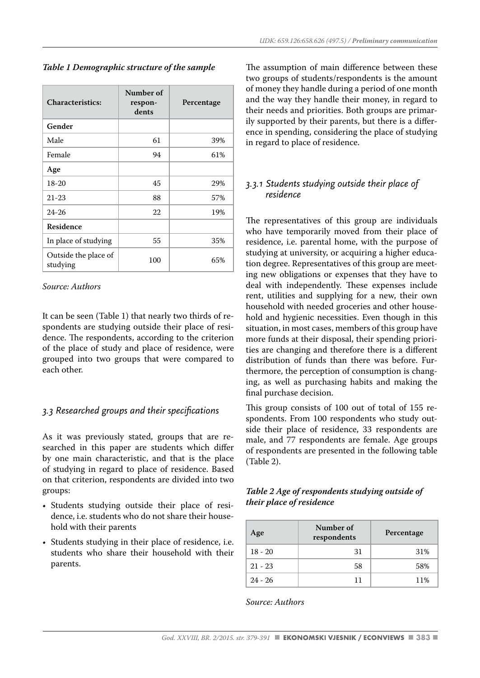*Table 1 Demographic structure of the sample*

| <b>Characteristics:</b>          | Number of<br>respon-<br>dents | Percentage |
|----------------------------------|-------------------------------|------------|
| Gender                           |                               |            |
| Male                             | 61                            | 39%        |
| Female                           | 94                            | 61%        |
| Age                              |                               |            |
| $18-20$                          | 45                            | 29%        |
| $21 - 23$                        | 88                            | 57%        |
| $24 - 26$                        | 22                            | 19%        |
| <b>Residence</b>                 |                               |            |
| In place of studying             | 55                            | 35%        |
| Outside the place of<br>studying | 100                           | 65%        |

#### *Source: Authors*

It can be seen (Table 1) that nearly two thirds of respondents are studying outside their place of residence. The respondents, according to the criterion of the place of study and place of residence, were grouped into two groups that were compared to each other.

#### *3.3 Researched groups and their specifications*

As it was previously stated, groups that are researched in this paper are students which differ by one main characteristic, and that is the place of studying in regard to place of residence. Based on that criterion, respondents are divided into two groups:

- Students studying outside their place of residence, i.e. students who do not share their household with their parents
- Students studying in their place of residence, i.e. students who share their household with their parents.

The assumption of main difference between these two groups of students/respondents is the amount of money they handle during a period of one month and the way they handle their money, in regard to their needs and priorities. Both groups are primarily supported by their parents, but there is a difference in spending, considering the place of studying in regard to place of residence.

# *3.3.1 Students studying outside their place of residence*

The representatives of this group are individuals who have temporarily moved from their place of residence, i.e. parental home, with the purpose of studying at university, or acquiring a higher education degree. Representatives of this group are meeting new obligations or expenses that they have to deal with independently. These expenses include rent, utilities and supplying for a new, their own household with needed groceries and other household and hygienic necessities. Even though in this situation, in most cases, members of this group have more funds at their disposal, their spending priorities are changing and therefore there is a different distribution of funds than there was before. Furthermore, the perception of consumption is changing, as well as purchasing habits and making the final purchase decision.

This group consists of 100 out of total of 155 respondents. From 100 respondents who study outside their place of residence, 33 respondents are male, and 77 respondents are female. Age groups of respondents are presented in the following table (Table 2).

## *Table 2 Age of respondents studying outside of their place of residence*

| Age       | Number of<br>respondents | Percentage |
|-----------|--------------------------|------------|
| $18 - 20$ | 31                       | 31%        |
| $21 - 23$ | 58                       | 58%        |
| $24 - 26$ | 11                       | 11%        |

*Source: Authors*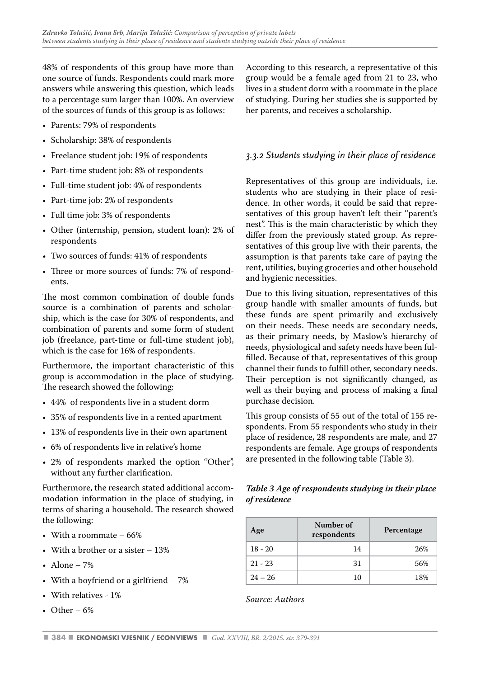48% of respondents of this group have more than one source of funds. Respondents could mark more answers while answering this question, which leads to a percentage sum larger than 100%. An overview of the sources of funds of this group is as follows:

- Parents: 79% of respondents
- Scholarship: 38% of respondents
- Freelance student job: 19% of respondents
- Part-time student job: 8% of respondents
- Full-time student job: 4% of respondents
- Part-time job: 2% of respondents
- Full time job: 3% of respondents
- Other (internship, pension, student loan): 2% of respondents
- Two sources of funds: 41% of respondents
- Three or more sources of funds: 7% of respondents.

The most common combination of double funds source is a combination of parents and scholarship, which is the case for 30% of respondents, and combination of parents and some form of student job (freelance, part-time or full-time student job), which is the case for 16% of respondents.

Furthermore, the important characteristic of this group is accommodation in the place of studying. The research showed the following:

- 44% of respondents live in a student dorm
- 35% of respondents live in a rented apartment
- 13% of respondents live in their own apartment
- 6% of respondents live in relative's home
- 2% of respondents marked the option ''Other'', without any further clarification.

Furthermore, the research stated additional accommodation information in the place of studying, in terms of sharing a household. The research showed the following:

- With a roommate 66%
- With a brother or a sister  $-13%$
- Alone  $-7%$
- With a boyfriend or a girlfriend 7%
- With relatives 1%
- Other  $-6%$

According to this research, a representative of this group would be a female aged from 21 to 23, who lives in a student dorm with a roommate in the place of studying. During her studies she is supported by her parents, and receives a scholarship.

# *3.3.2 Students studying in their place of residence*

Representatives of this group are individuals, i.e. students who are studying in their place of residence. In other words, it could be said that representatives of this group haven't left their "parent's nest''. This is the main characteristic by which they differ from the previously stated group. As representatives of this group live with their parents, the assumption is that parents take care of paying the rent, utilities, buying groceries and other household and hygienic necessities.

Due to this living situation, representatives of this group handle with smaller amounts of funds, but these funds are spent primarily and exclusively on their needs. These needs are secondary needs, as their primary needs, by Maslow's hierarchy of needs, physiological and safety needs have been fulfilled. Because of that, representatives of this group channel their funds to fulfill other, secondary needs. Their perception is not significantly changed, as well as their buying and process of making a final purchase decision.

This group consists of 55 out of the total of 155 respondents. From 55 respondents who study in their place of residence, 28 respondents are male, and 27 respondents are female. Age groups of respondents are presented in the following table (Table 3).

*Table 3 Age of respondents studying in their place of residence*

| Age       | Number of<br>respondents | Percentage |
|-----------|--------------------------|------------|
| $18 - 20$ | 14                       | 26%        |
| $21 - 23$ | 31                       | 56%        |
| $24 - 26$ | 10                       | 18%        |

*Source: Authors*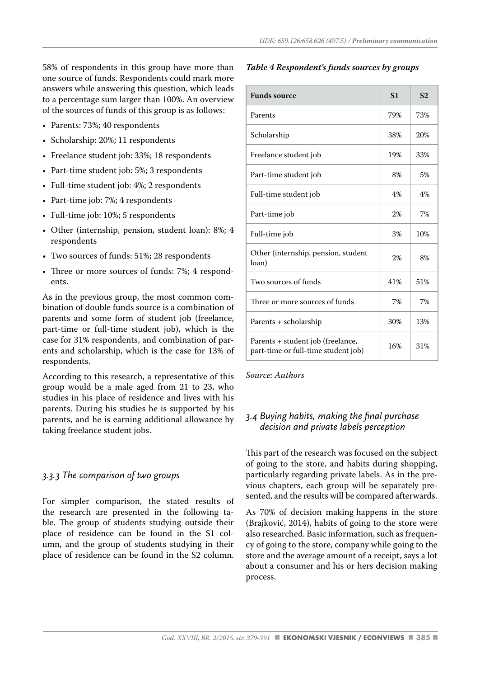58% of respondents in this group have more than one source of funds. Respondents could mark more answers while answering this question, which leads to a percentage sum larger than 100%. An overview of the sources of funds of this group is as follows:

- Parents: 73%; 40 respondents
- Scholarship: 20%; 11 respondents
- Freelance student job: 33%; 18 respondents
- Part-time student job: 5%; 3 respondents
- Full-time student job: 4%; 2 respondents
- Part-time job: 7%; 4 respondents
- Full-time job: 10%; 5 respondents
- Other (internship, pension, student loan): 8%; 4 respondents
- Two sources of funds: 51%; 28 respondents
- Three or more sources of funds: 7%; 4 respondents.

As in the previous group, the most common combination of double funds source is a combination of parents and some form of student job (freelance, part-time or full-time student job), which is the case for 31% respondents, and combination of parents and scholarship, which is the case for 13% of respondents.

According to this research, a representative of this group would be a male aged from 21 to 23, who studies in his place of residence and lives with his parents. During his studies he is supported by his parents, and he is earning additional allowance by taking freelance student jobs.

#### *3.3.3 The comparison of two groups*

For simpler comparison, the stated results of the research are presented in the following table. The group of students studying outside their place of residence can be found in the S1 column, and the group of students studying in their place of residence can be found in the S2 column.

#### *Table 4 Respondent's funds sources by groups*

| <b>Funds source</b>                                                      | S <sub>1</sub> | S <sub>2</sub> |
|--------------------------------------------------------------------------|----------------|----------------|
| Parents                                                                  | 79%            | 73%            |
| Scholarship                                                              | 38%            | 20%            |
| Freelance student job                                                    | 19%            | 33%            |
| Part-time student job                                                    | 8%             | 5%             |
| Full-time student job                                                    | 4%             | 4%             |
| Part-time job                                                            | 2%             | 7%             |
| Full-time job                                                            | 3%             | 10%            |
| Other (internship, pension, student<br>loan)                             | 2%             | 8%             |
| Two sources of funds                                                     | 41%            | 51%            |
| Three or more sources of funds                                           | 7%             | 7%             |
| Parents + scholarship                                                    | 30%            | 13%            |
| Parents + student job (freelance,<br>part-time or full-time student job) | 16%            | 31%            |

*Source: Authors*

# *3.4 Buying habits, making the final purchase decision and private labels perception*

This part of the research was focused on the subject of going to the store, and habits during shopping, particularly regarding private labels. As in the previous chapters, each group will be separately presented, and the results will be compared afterwards.

As 70% of decision making happens in the store (Brajković, 2014), habits of going to the store were also researched. Basic information, such as frequency of going to the store, company while going to the store and the average amount of a receipt, says a lot about a consumer and his or hers decision making process.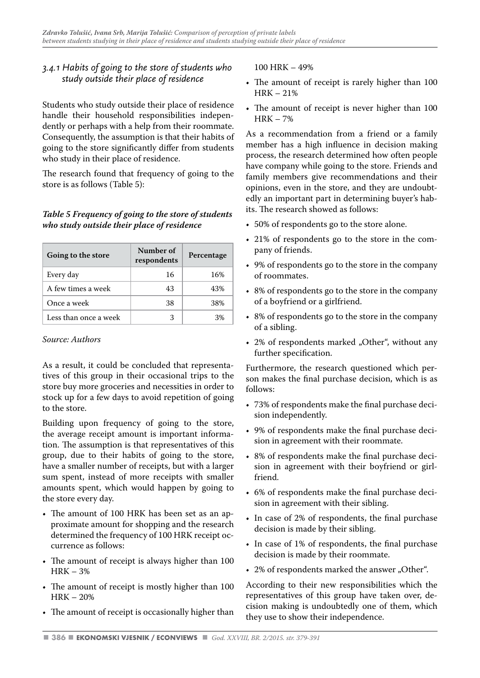# *3.4.1 Habits of going to the store of students who study outside their place of residence*

Students who study outside their place of residence handle their household responsibilities independently or perhaps with a help from their roommate. Consequently, the assumption is that their habits of going to the store significantly differ from students who study in their place of residence.

The research found that frequency of going to the store is as follows (Table 5):

#### *Table 5 Frequency of going to the store of students who study outside their place of residence*

| Going to the store    | Number of<br>respondents | Percentage |
|-----------------------|--------------------------|------------|
| Every day             | 16                       | 16%        |
| A few times a week    | 43                       | 43%        |
| Once a week           | 38                       | 38%        |
| Less than once a week | 3                        | 3%         |

#### *Source: Authors*

As a result, it could be concluded that representatives of this group in their occasional trips to the store buy more groceries and necessities in order to stock up for a few days to avoid repetition of going to the store.

Building upon frequency of going to the store, the average receipt amount is important information. The assumption is that representatives of this group, due to their habits of going to the store, have a smaller number of receipts, but with a larger sum spent, instead of more receipts with smaller amounts spent, which would happen by going to the store every day.

- The amount of 100 HRK has been set as an approximate amount for shopping and the research determined the frequency of 100 HRK receipt occurrence as follows:
- The amount of receipt is always higher than 100 HRK – 3%
- The amount of receipt is mostly higher than 100  $HRK - 20%$
- The amount of receipt is occasionally higher than

100 HRK – 49%

- The amount of receipt is rarely higher than 100  $HRK = 21%$
- The amount of receipt is never higher than 100 HRK – 7%

As a recommendation from a friend or a family member has a high influence in decision making process, the research determined how often people have company while going to the store. Friends and family members give recommendations and their opinions, even in the store, and they are undoubtedly an important part in determining buyer's habits. The research showed as follows:

- 50% of respondents go to the store alone.
- 21% of respondents go to the store in the company of friends.
- 9% of respondents go to the store in the company of roommates.
- 8% of respondents go to the store in the company of a boyfriend or a girlfriend.
- 8% of respondents go to the store in the company of a sibling.
- $\cdot$  2% of respondents marked "Other", without any further specification.

Furthermore, the research questioned which person makes the final purchase decision, which is as follows:

- 73% of respondents make the final purchase decision independently.
- 9% of respondents make the final purchase decision in agreement with their roommate.
- 8% of respondents make the final purchase decision in agreement with their boyfriend or girlfriend.
- 6% of respondents make the final purchase decision in agreement with their sibling.
- In case of 2% of respondents, the final purchase decision is made by their sibling.
- In case of 1% of respondents, the final purchase decision is made by their roommate.
- 2% of respondents marked the answer "Other".

According to their new responsibilities which the representatives of this group have taken over, decision making is undoubtedly one of them, which they use to show their independence.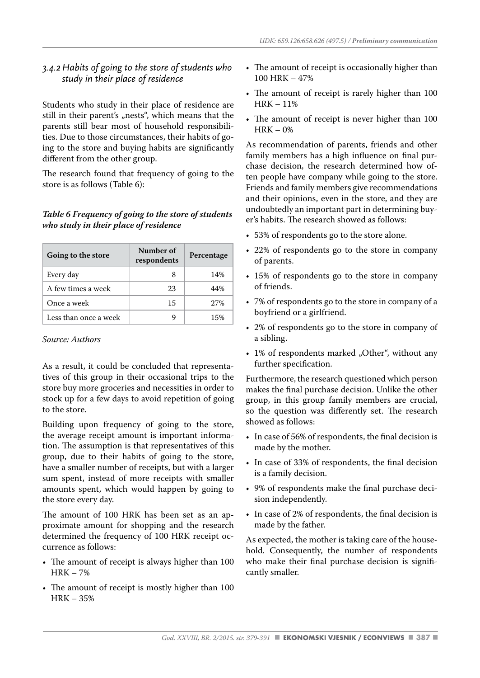# *3.4.2 Habits of going to the store of students who study in their place of residence*

Students who study in their place of residence are still in their parent's "nests", which means that the parents still bear most of household responsibilities. Due to those circumstances, their habits of going to the store and buying habits are significantly different from the other group.

The research found that frequency of going to the store is as follows (Table 6):

#### *Table 6 Frequency of going to the store of students who study in their place of residence*

| Going to the store    | Number of<br>respondents | Percentage |
|-----------------------|--------------------------|------------|
| Every day             | я                        | 14%        |
| A few times a week    | 23                       | 44%        |
| Once a week           | 15                       | 27%        |
| Less than once a week |                          | 15%        |

*Source: Authors*

As a result, it could be concluded that representatives of this group in their occasional trips to the store buy more groceries and necessities in order to stock up for a few days to avoid repetition of going to the store.

Building upon frequency of going to the store, the average receipt amount is important information. The assumption is that representatives of this group, due to their habits of going to the store, have a smaller number of receipts, but with a larger sum spent, instead of more receipts with smaller amounts spent, which would happen by going to the store every day.

The amount of 100 HRK has been set as an approximate amount for shopping and the research determined the frequency of 100 HRK receipt occurrence as follows:

- The amount of receipt is always higher than 100 HRK – 7%
- The amount of receipt is mostly higher than 100 HRK – 35%
- The amount of receipt is occasionally higher than 100 HRK – 47%
- The amount of receipt is rarely higher than 100 HRK – 11%
- The amount of receipt is never higher than 100  $HRK - 0%$

As recommendation of parents, friends and other family members has a high influence on final purchase decision, the research determined how often people have company while going to the store. Friends and family members give recommendations and their opinions, even in the store, and they are undoubtedly an important part in determining buyer's habits. The research showed as follows:

- 53% of respondents go to the store alone.
- 22% of respondents go to the store in company of parents.
- 15% of respondents go to the store in company of friends.
- 7% of respondents go to the store in company of a boyfriend or a girlfriend.
- 2% of respondents go to the store in company of a sibling.
- 1% of respondents marked "Other", without any further specification.

Furthermore, the research questioned which person makes the final purchase decision. Unlike the other group, in this group family members are crucial, so the question was differently set. The research showed as follows:

- In case of 56% of respondents, the final decision is made by the mother.
- In case of 33% of respondents, the final decision is a family decision.
- 9% of respondents make the final purchase decision independently.
- In case of 2% of respondents, the final decision is made by the father.

As expected, the mother is taking care of the household. Consequently, the number of respondents who make their final purchase decision is significantly smaller.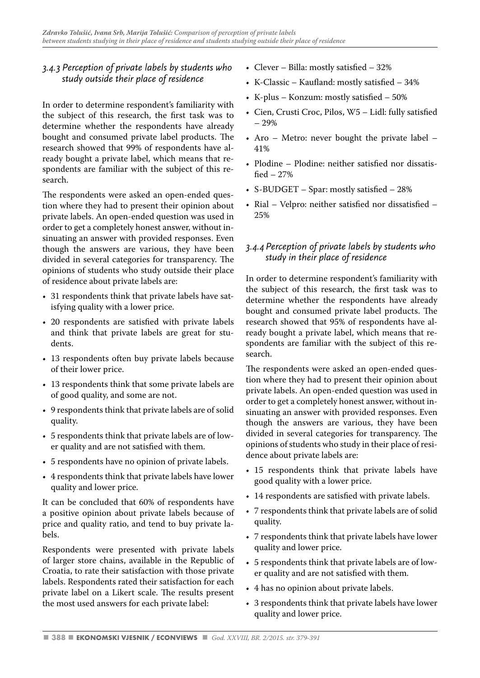# *3.4.3 Perception of private labels by students who study outside their place of residence*

In order to determine respondent's familiarity with the subject of this research, the first task was to determine whether the respondents have already bought and consumed private label products. The research showed that 99% of respondents have already bought a private label, which means that respondents are familiar with the subject of this research.

The respondents were asked an open-ended question where they had to present their opinion about private labels. An open-ended question was used in order to get a completely honest answer, without insinuating an answer with provided responses. Even though the answers are various, they have been divided in several categories for transparency. The opinions of students who study outside their place of residence about private labels are:

- 31 respondents think that private labels have satisfying quality with a lower price.
- 20 respondents are satisfied with private labels and think that private labels are great for students.
- 13 respondents often buy private labels because of their lower price.
- 13 respondents think that some private labels are of good quality, and some are not.
- 9 respondents think that private labels are of solid quality.
- 5 respondents think that private labels are of lower quality and are not satisfied with them.
- 5 respondents have no opinion of private labels.
- 4 respondents think that private labels have lower quality and lower price.

It can be concluded that 60% of respondents have a positive opinion about private labels because of price and quality ratio, and tend to buy private labels.

Respondents were presented with private labels of larger store chains, available in the Republic of Croatia, to rate their satisfaction with those private labels. Respondents rated their satisfaction for each private label on a Likert scale. The results present the most used answers for each private label:

- Clever Billa: mostly satisfied 32%
- K-Classic Kaufland: mostly satisfied 34%
- K-plus Konzum: mostly satisfied 50%
- Cien, Crusti Croc, Pilos, W5 Lidl: fully satisfied – 29%
- Aro Metro: never bought the private label 41%
- Plodine Plodine: neither satisfied nor dissatisfied – 27%
- S-BUDGET Spar: mostly satisfied 28%
- Rial Velpro: neither satisfied nor dissatisfied 25%

# *3.4.4 Perception of private labels by students who study in their place of residence*

In order to determine respondent's familiarity with the subject of this research, the first task was to determine whether the respondents have already bought and consumed private label products. The research showed that 95% of respondents have already bought a private label, which means that respondents are familiar with the subject of this research.

The respondents were asked an open-ended question where they had to present their opinion about private labels. An open-ended question was used in order to get a completely honest answer, without insinuating an answer with provided responses. Even though the answers are various, they have been divided in several categories for transparency. The opinions of students who study in their place of residence about private labels are:

- 15 respondents think that private labels have good quality with a lower price.
- 14 respondents are satisfied with private labels.
- 7 respondents think that private labels are of solid quality.
- 7 respondents think that private labels have lower quality and lower price.
- 5 respondents think that private labels are of lower quality and are not satisfied with them.
- 4 has no opinion about private labels.
- 3 respondents think that private labels have lower quality and lower price.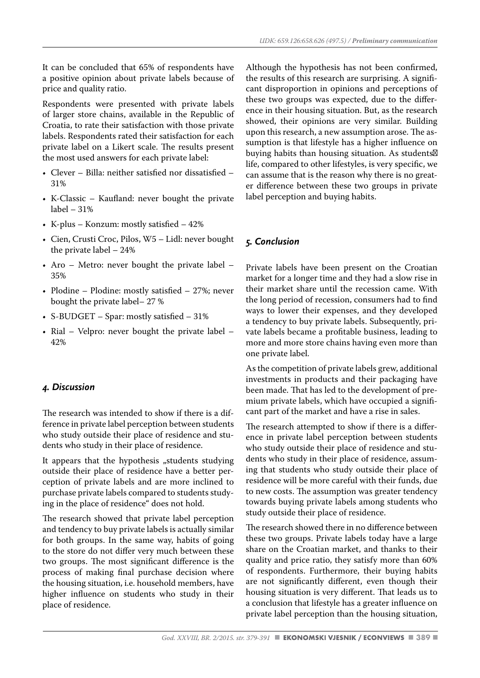It can be concluded that 65% of respondents have a positive opinion about private labels because of price and quality ratio.

Respondents were presented with private labels of larger store chains, available in the Republic of Croatia, to rate their satisfaction with those private labels. Respondents rated their satisfaction for each private label on a Likert scale. The results present the most used answers for each private label:

- Clever Billa: neither satisfied nor dissatisfied 31%
- K-Classic Kaufland: never bought the private label – 31%
- K-plus Konzum: mostly satisfied 42%
- Cien, Crusti Croc, Pilos, W5 Lidl: never bought the private label – 24%
- Aro Metro: never bought the private label 35%
- Plodine Plodine: mostly satisfied 27%; never bought the private label– 27 %
- S-BUDGET Spar: mostly satisfied 31%
- Rial Velpro: never bought the private label 42%

#### *4. Discussion*

The research was intended to show if there is a difference in private label perception between students who study outside their place of residence and students who study in their place of residence.

It appears that the hypothesis "students studying outside their place of residence have a better perception of private labels and are more inclined to purchase private labels compared to students studying in the place of residence" does not hold.

The research showed that private label perception and tendency to buy private labels is actually similar for both groups. In the same way, habits of going to the store do not differ very much between these two groups. The most significant difference is the process of making final purchase decision where the housing situation, i.e. household members, have higher influence on students who study in their place of residence.

Although the hypothesis has not been confirmed, the results of this research are surprising. A significant disproportion in opinions and perceptions of these two groups was expected, due to the difference in their housing situation. But, as the research showed, their opinions are very similar. Building upon this research, a new assumption arose. The assumption is that lifestyle has a higher influence on buying habits than housing situation. As students life, compared to other lifestyles, is very specific, we can assume that is the reason why there is no greater difference between these two groups in private label perception and buying habits.

## *5. Conclusion*

Private labels have been present on the Croatian market for a longer time and they had a slow rise in their market share until the recession came. With the long period of recession, consumers had to find ways to lower their expenses, and they developed a tendency to buy private labels. Subsequently, private labels became a profitable business, leading to more and more store chains having even more than one private label.

As the competition of private labels grew, additional investments in products and their packaging have been made. That has led to the development of premium private labels, which have occupied a significant part of the market and have a rise in sales.

The research attempted to show if there is a difference in private label perception between students who study outside their place of residence and students who study in their place of residence, assuming that students who study outside their place of residence will be more careful with their funds, due to new costs. The assumption was greater tendency towards buying private labels among students who study outside their place of residence.

The research showed there in no difference between these two groups. Private labels today have a large share on the Croatian market, and thanks to their quality and price ratio, they satisfy more than 60% of respondents. Furthermore, their buying habits are not significantly different, even though their housing situation is very different. That leads us to a conclusion that lifestyle has a greater influence on private label perception than the housing situation,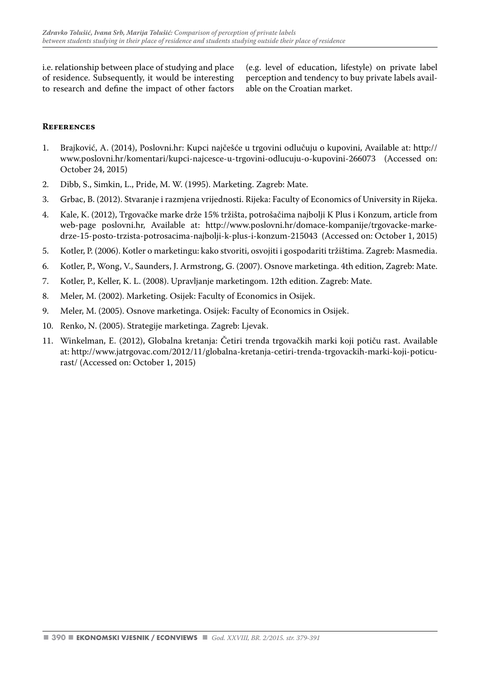i.e. relationship between place of studying and place of residence. Subsequently, it would be interesting to research and define the impact of other factors (e.g. level of education, lifestyle) on private label perception and tendency to buy private labels available on the Croatian market.

#### **References**

- 1. Brajković, A. (2014), Poslovni.hr: Kupci najčešće u trgovini odlučuju o kupovini, Available at: http:// www.poslovni.hr/komentari/kupci-najcesce-u-trgovini-odlucuju-o-kupovini-266073 (Accessed on: October 24, 2015)
- 2. Dibb, S., Simkin, L., Pride, M. W. (1995). Marketing. Zagreb: Mate.
- 3. Grbac, B. (2012). Stvaranje i razmjena vrijednosti. Rijeka: Faculty of Economics of University in Rijeka.
- 4. Kale, K. (2012), Trgovačke marke drže 15% tržišta, potrošačima najbolji K Plus i Konzum, article from web-page poslovni.hr, Available at: http://www.poslovni.hr/domace-kompanije/trgovacke-markedrze-15-posto-trzista-potrosacima-najbolji-k-plus-i-konzum-215043 (Accessed on: October 1, 2015)
- 5. Kotler, P. (2006). Kotler o marketingu: kako stvoriti, osvojiti i gospodariti tržištima. Zagreb: Masmedia.
- 6. Kotler, P., Wong, V., Saunders, J. Armstrong, G. (2007). Osnove marketinga. 4th edition, Zagreb: Mate.
- 7. Kotler, P., Keller, K. L. (2008). Upravljanje marketingom. 12th edition. Zagreb: Mate.
- 8. Meler, M. (2002). Marketing. Osijek: Faculty of Economics in Osijek.
- 9. Meler, M. (2005). Osnove marketinga. Osijek: Faculty of Economics in Osijek.
- 10. Renko, N. (2005). Strategije marketinga. Zagreb: Ljevak.
- 11. Winkelman, E. (2012), Globalna kretanja: Četiri trenda trgovačkih marki koji potiču rast. Available at: http://www.jatrgovac.com/2012/11/globalna-kretanja-cetiri-trenda-trgovackih-marki-koji-poticurast/ (Accessed on: October 1, 2015)